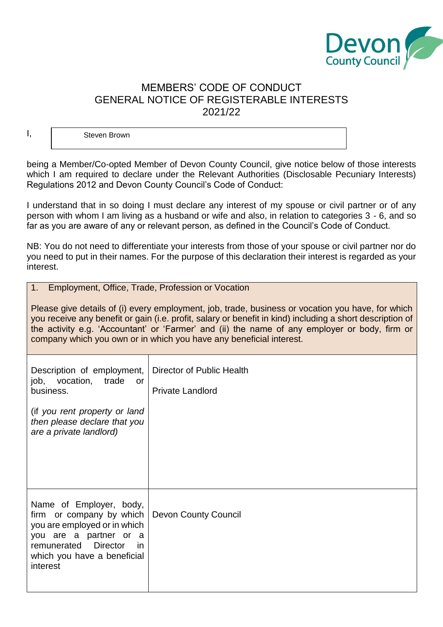

## MEMBERS' CODE OF CONDUCT GENERAL NOTICE OF REGISTERABLE INTERESTS 2021/22

Steven Brown

being a Member/Co-opted Member of Devon County Council, give notice below of those interests which I am required to declare under the Relevant Authorities (Disclosable Pecuniary Interests) Regulations 2012 and Devon County Council's Code of Conduct:

I understand that in so doing I must declare any interest of my spouse or civil partner or of any person with whom I am living as a husband or wife and also, in relation to categories 3 - 6, and so far as you are aware of any or relevant person, as defined in the Council's Code of Conduct.

NB: You do not need to differentiate your interests from those of your spouse or civil partner nor do you need to put in their names. For the purpose of this declaration their interest is regarded as your interest.

| 1. Employment, Office, Trade, Profession or Vocation |  |
|------------------------------------------------------|--|
|                                                      |  |

Please give details of (i) every employment, job, trade, business or vocation you have, for which you receive any benefit or gain (i.e. profit, salary or benefit in kind) including a short description of the activity e.g. 'Accountant' or 'Farmer' and (ii) the name of any employer or body, firm or company which you own or in which you have any beneficial interest.

| Description of employment,<br>job, vocation, trade<br>or o<br>business.                                                                                                                           | Director of Public Health<br><b>Private Landlord</b> |
|---------------------------------------------------------------------------------------------------------------------------------------------------------------------------------------------------|------------------------------------------------------|
| (if you rent property or land<br>then please declare that you<br>are a private landlord)                                                                                                          |                                                      |
| Name of Employer, body,<br>firm or company by which<br>you are employed or in which<br>you are a partner or a<br><b>Director</b><br>remunerated<br>in.<br>which you have a beneficial<br>interest | <b>Devon County Council</b>                          |

I,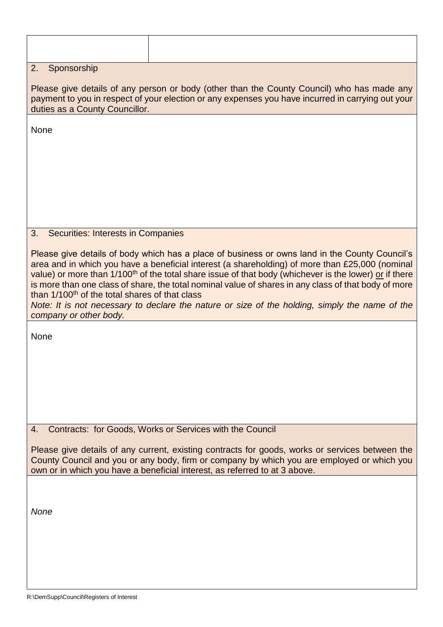| Sponsorship<br>2.                                                                                                                                                                                                                                                                                                                                                                                                                                                                                                                                                                                                         |                                                          |  |  |  |  |
|---------------------------------------------------------------------------------------------------------------------------------------------------------------------------------------------------------------------------------------------------------------------------------------------------------------------------------------------------------------------------------------------------------------------------------------------------------------------------------------------------------------------------------------------------------------------------------------------------------------------------|----------------------------------------------------------|--|--|--|--|
| Please give details of any person or body (other than the County Council) who has made any<br>payment to you in respect of your election or any expenses you have incurred in carrying out your<br>duties as a County Councillor.                                                                                                                                                                                                                                                                                                                                                                                         |                                                          |  |  |  |  |
| None                                                                                                                                                                                                                                                                                                                                                                                                                                                                                                                                                                                                                      |                                                          |  |  |  |  |
|                                                                                                                                                                                                                                                                                                                                                                                                                                                                                                                                                                                                                           |                                                          |  |  |  |  |
|                                                                                                                                                                                                                                                                                                                                                                                                                                                                                                                                                                                                                           |                                                          |  |  |  |  |
|                                                                                                                                                                                                                                                                                                                                                                                                                                                                                                                                                                                                                           |                                                          |  |  |  |  |
|                                                                                                                                                                                                                                                                                                                                                                                                                                                                                                                                                                                                                           |                                                          |  |  |  |  |
| 3.<br><b>Securities: Interests in Companies</b>                                                                                                                                                                                                                                                                                                                                                                                                                                                                                                                                                                           |                                                          |  |  |  |  |
| Please give details of body which has a place of business or owns land in the County Council's<br>area and in which you have a beneficial interest (a shareholding) of more than £25,000 (nominal<br>value) or more than 1/100 <sup>th</sup> of the total share issue of that body (whichever is the lower) or if there<br>is more than one class of share, the total nominal value of shares in any class of that body of more<br>than 1/100 <sup>th</sup> of the total shares of that class<br>Note: It is not necessary to declare the nature or size of the holding, simply the name of the<br>company or other body. |                                                          |  |  |  |  |
| None                                                                                                                                                                                                                                                                                                                                                                                                                                                                                                                                                                                                                      |                                                          |  |  |  |  |
|                                                                                                                                                                                                                                                                                                                                                                                                                                                                                                                                                                                                                           |                                                          |  |  |  |  |
|                                                                                                                                                                                                                                                                                                                                                                                                                                                                                                                                                                                                                           |                                                          |  |  |  |  |
|                                                                                                                                                                                                                                                                                                                                                                                                                                                                                                                                                                                                                           |                                                          |  |  |  |  |
|                                                                                                                                                                                                                                                                                                                                                                                                                                                                                                                                                                                                                           |                                                          |  |  |  |  |
| 4.                                                                                                                                                                                                                                                                                                                                                                                                                                                                                                                                                                                                                        | Contracts: for Goods, Works or Services with the Council |  |  |  |  |
| Please give details of any current, existing contracts for goods, works or services between the<br>County Council and you or any body, firm or company by which you are employed or which you<br>own or in which you have a beneficial interest, as referred to at 3 above.                                                                                                                                                                                                                                                                                                                                               |                                                          |  |  |  |  |
|                                                                                                                                                                                                                                                                                                                                                                                                                                                                                                                                                                                                                           |                                                          |  |  |  |  |
| <b>None</b>                                                                                                                                                                                                                                                                                                                                                                                                                                                                                                                                                                                                               |                                                          |  |  |  |  |
|                                                                                                                                                                                                                                                                                                                                                                                                                                                                                                                                                                                                                           |                                                          |  |  |  |  |
|                                                                                                                                                                                                                                                                                                                                                                                                                                                                                                                                                                                                                           |                                                          |  |  |  |  |
|                                                                                                                                                                                                                                                                                                                                                                                                                                                                                                                                                                                                                           |                                                          |  |  |  |  |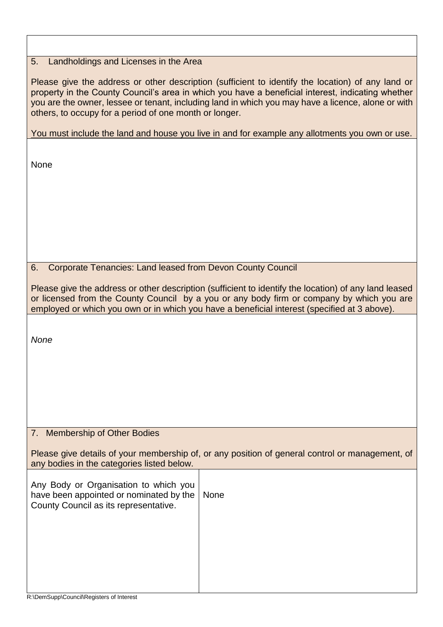## 5. Landholdings and Licenses in the Area

Please give the address or other description (sufficient to identify the location) of any land or property in the County Council's area in which you have a beneficial interest, indicating whether you are the owner, lessee or tenant, including land in which you may have a licence, alone or with others, to occupy for a period of one month or longer.

You must include the land and house you live in and for example any allotments you own or use.

None

6. Corporate Tenancies: Land leased from Devon County Council

Please give the address or other description (sufficient to identify the location) of any land leased or licensed from the County Council by a you or any body firm or company by which you are employed or which you own or in which you have a beneficial interest (specified at 3 above).

*None*

## 7. Membership of Other Bodies

Please give details of your membership of, or any position of general control or management, of any bodies in the categories listed below.

| Any Body or Organisation to which you<br>have been appointed or nominated by the<br>County Council as its representative. | None |
|---------------------------------------------------------------------------------------------------------------------------|------|
|                                                                                                                           |      |
|                                                                                                                           |      |